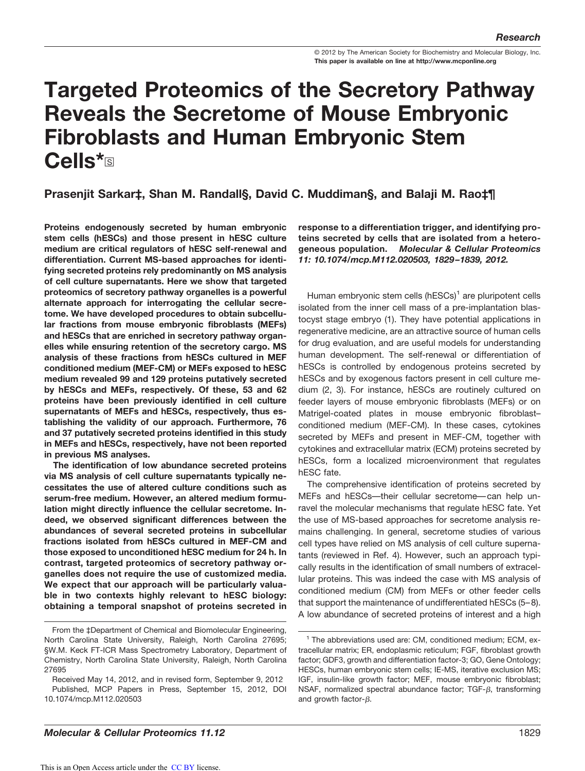© 2012 by The American Society for Biochemistry and Molecular Biology, Inc. **This paper is available on line at http://www.mcponline.org**

# **Targeted Proteomics of the Secretory Pathway Reveals the Secretome of Mouse Embryonic Fibroblasts and Human Embryonic Stem**  $C$ ells\*<sub>S</sub>

## **Prasenjit Sarkar‡, Shan M. Randall§, David C. Muddiman§, and Balaji M. Rao‡¶**

**Proteins endogenously secreted by human embryonic stem cells (hESCs) and those present in hESC culture medium are critical regulators of hESC self-renewal and differentiation. Current MS-based approaches for identifying secreted proteins rely predominantly on MS analysis of cell culture supernatants. Here we show that targeted proteomics of secretory pathway organelles is a powerful alternate approach for interrogating the cellular secretome. We have developed procedures to obtain subcellular fractions from mouse embryonic fibroblasts (MEFs) and hESCs that are enriched in secretory pathway organelles while ensuring retention of the secretory cargo. MS analysis of these fractions from hESCs cultured in MEF conditioned medium (MEF-CM) or MEFs exposed to hESC medium revealed 99 and 129 proteins putatively secreted by hESCs and MEFs, respectively. Of these, 53 and 62 proteins have been previously identified in cell culture supernatants of MEFs and hESCs, respectively, thus establishing the validity of our approach. Furthermore, 76 and 37 putatively secreted proteins identified in this study in MEFs and hESCs, respectively, have not been reported in previous MS analyses.**

**The identification of low abundance secreted proteins via MS analysis of cell culture supernatants typically necessitates the use of altered culture conditions such as serum-free medium. However, an altered medium formulation might directly influence the cellular secretome. Indeed, we observed significant differences between the abundances of several secreted proteins in subcellular fractions isolated from hESCs cultured in MEF-CM and those exposed to unconditioned hESC medium for 24 h. In contrast, targeted proteomics of secretory pathway organelles does not require the use of customized media. We expect that our approach will be particularly valuable in two contexts highly relevant to hESC biology: obtaining a temporal snapshot of proteins secreted in** **response to a differentiation trigger, and identifying proteins secreted by cells that are isolated from a heterogeneous population.** *Molecular & Cellular Proteomics 11: 10.1074/mcp.M112.020503, 1829–1839, 2012.*

Human embryonic stem cells (hESCs)<sup>1</sup> are pluripotent cells isolated from the inner cell mass of a pre-implantation blastocyst stage embryo (1). They have potential applications in regenerative medicine, are an attractive source of human cells for drug evaluation, and are useful models for understanding human development. The self-renewal or differentiation of hESCs is controlled by endogenous proteins secreted by hESCs and by exogenous factors present in cell culture medium (2, 3). For instance, hESCs are routinely cultured on feeder layers of mouse embryonic fibroblasts (MEFs) or on Matrigel-coated plates in mouse embryonic fibroblast– conditioned medium (MEF-CM). In these cases, cytokines secreted by MEFs and present in MEF-CM, together with cytokines and extracellular matrix (ECM) proteins secreted by hESCs, form a localized microenvironment that regulates hESC fate.

The comprehensive identification of proteins secreted by MEFs and hESCs—their cellular secretome—can help unravel the molecular mechanisms that regulate hESC fate. Yet the use of MS-based approaches for secretome analysis remains challenging. In general, secretome studies of various cell types have relied on MS analysis of cell culture supernatants (reviewed in Ref. 4). However, such an approach typically results in the identification of small numbers of extracellular proteins. This was indeed the case with MS analysis of conditioned medium (CM) from MEFs or other feeder cells that support the maintenance of undifferentiated hESCs (5–8). A low abundance of secreted proteins of interest and a high

From the ‡Department of Chemical and Biomolecular Engineering, North Carolina State University, Raleigh, North Carolina 27695; §W.M. Keck FT-ICR Mass Spectrometry Laboratory, Department of Chemistry, North Carolina State University, Raleigh, North Carolina 27695

Received May 14, 2012, and in revised form, September 9, 2012 Published, MCP Papers in Press, September 15, 2012, DOI 10.1074/mcp.M112.020503

<sup>&</sup>lt;sup>1</sup> The abbreviations used are: CM, conditioned medium; ECM, extracellular matrix; ER, endoplasmic reticulum; FGF, fibroblast growth factor; GDF3, growth and differentiation factor-3; GO, Gene Ontology; HESCs, human embryonic stem cells; IE-MS, iterative exclusion MS; IGF, insulin-like growth factor; MEF, mouse embryonic fibroblast; NSAF, normalized spectral abundance factor;  $TGF- $\beta$ , transforming$ and growth factor- $\beta$ .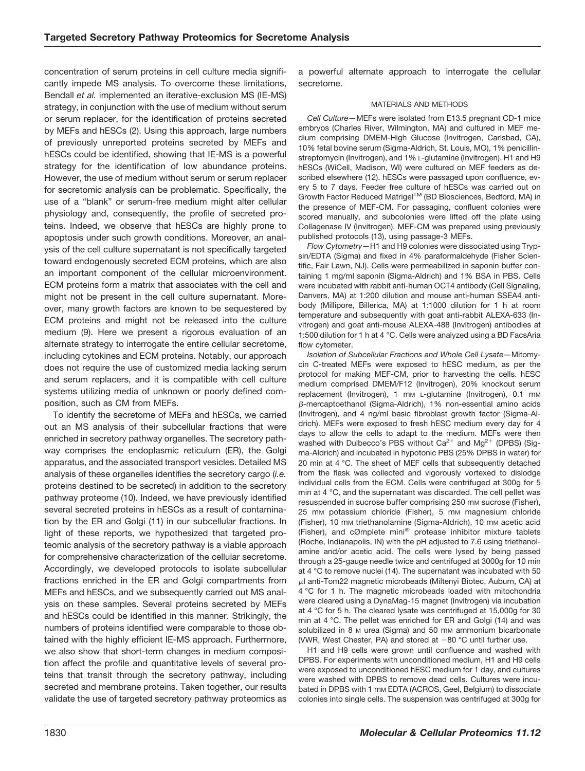concentration of serum proteins in cell culture media significantly impede MS analysis. To overcome these limitations, Bendall *et al.* implemented an iterative-exclusion MS (IE-MS) strategy, in conjunction with the use of medium without serum or serum replacer, for the identification of proteins secreted by MEFs and hESCs (2). Using this approach, large numbers of previously unreported proteins secreted by MEFs and hESCs could be identified, showing that IE-MS is a powerful strategy for the identification of low abundance proteins. However, the use of medium without serum or serum replacer for secretomic analysis can be problematic. Specifically, the use of a "blank" or serum-free medium might alter cellular physiology and, consequently, the profile of secreted proteins. Indeed, we observe that hESCs are highly prone to apoptosis under such growth conditions. Moreover, an analysis of the cell culture supernatant is not specifically targeted toward endogenously secreted ECM proteins, which are also an important component of the cellular microenvironment. ECM proteins form a matrix that associates with the cell and might not be present in the cell culture supernatant. Moreover, many growth factors are known to be sequestered by ECM proteins and might not be released into the culture medium (9). Here we present a rigorous evaluation of an alternate strategy to interrogate the entire cellular secretome, including cytokines and ECM proteins. Notably, our approach does not require the use of customized media lacking serum and serum replacers, and it is compatible with cell culture systems utilizing media of unknown or poorly defined composition, such as CM from MEFs.

To identify the secretome of MEFs and hESCs, we carried out an MS analysis of their subcellular fractions that were enriched in secretory pathway organelles. The secretory pathway comprises the endoplasmic reticulum (ER), the Golgi apparatus, and the associated transport vesicles. Detailed MS analysis of these organelles identifies the secretory cargo (*i.e.* proteins destined to be secreted) in addition to the secretory pathway proteome (10). Indeed, we have previously identified several secreted proteins in hESCs as a result of contamination by the ER and Golgi (11) in our subcellular fractions. In light of these reports, we hypothesized that targeted proteomic analysis of the secretory pathway is a viable approach for comprehensive characterization of the cellular secretome. Accordingly, we developed protocols to isolate subcellular fractions enriched in the ER and Golgi compartments from MEFs and hESCs, and we subsequently carried out MS analysis on these samples. Several proteins secreted by MEFs and hESCs could be identified in this manner. Strikingly, the numbers of proteins identified were comparable to those obtained with the highly efficient IE-MS approach. Furthermore, we also show that short-term changes in medium composition affect the profile and quantitative levels of several proteins that transit through the secretory pathway, including secreted and membrane proteins. Taken together, our results validate the use of targeted secretory pathway proteomics as

a powerful alternate approach to interrogate the cellular secretome.

#### MATERIALS AND METHODS

*Cell Culture—*MEFs were isolated from E13.5 pregnant CD-1 mice embryos (Charles River, Wilmington, MA) and cultured in MEF medium comprising DMEM-High Glucose (Invitrogen, Carlsbad, CA), 10% fetal bovine serum (Sigma-Aldrich, St. Louis, MO), 1% penicillinstreptomycin (Invitrogen), and 1% L-glutamine (Invitrogen). H1 and H9 hESCs (WiCell, Madison, WI) were cultured on MEF feeders as described elsewhere (12). hESCs were passaged upon confluence, every 5 to 7 days. Feeder free culture of hESCs was carried out on Growth Factor Reduced MatrigelTM (BD Biosciences, Bedford, MA) in the presence of MEF-CM. For passaging, confluent colonies were scored manually, and subcolonies were lifted off the plate using Collagenase IV (Invitrogen). MEF-CM was prepared using previously published protocols (13), using passage-3 MEFs.

*Flow Cytometry—*H1 and H9 colonies were dissociated using Trypsin/EDTA (Sigma) and fixed in 4% paraformaldehyde (Fisher Scientific, Fair Lawn, NJ). Cells were permeabilized in saponin buffer containing 1 mg/ml saponin (Sigma-Aldrich) and 1% BSA in PBS. Cells were incubated with rabbit anti-human OCT4 antibody (Cell Signaling, Danvers, MA) at 1:200 dilution and mouse anti-human SSEA4 antibody (Millipore, Billerica, MA) at 1:1000 dilution for 1 h at room temperature and subsequently with goat anti-rabbit ALEXA-633 (Invitrogen) and goat anti-mouse ALEXA-488 (Invitrogen) antibodies at 1:500 dilution for 1 h at 4 °C. Cells were analyzed using a BD FacsAria flow cytometer.

*Isolation of Subcellular Fractions and Whole Cell Lysate—*Mitomycin C-treated MEFs were exposed to hESC medium, as per the protocol for making MEF-CM, prior to harvesting the cells. hESC medium comprised DMEM/F12 (Invitrogen), 20% knockout serum replacement (Invitrogen), 1 mm L-glutamine (Invitrogen), 0.1 mm  $\beta$ -mercaptoethanol (Sigma-Aldrich), 1% non-essential amino acids (Invitrogen), and 4 ng/ml basic fibroblast growth factor (Sigma-Aldrich). MEFs were exposed to fresh hESC medium every day for 4 days to allow the cells to adapt to the medium. MEFs were then washed with Dulbecco's PBS without Ca<sup>2+</sup> and Mg<sup>2+</sup> (DPBS) (Sigma-Aldrich) and incubated in hypotonic PBS (25% DPBS in water) for 20 min at 4 °C. The sheet of MEF cells that subsequently detached from the flask was collected and vigorously vortexed to dislodge individual cells from the ECM. Cells were centrifuged at 300g for 5 min at 4 °C, and the supernatant was discarded. The cell pellet was resuspended in sucrose buffer comprising 250 mm sucrose (Fisher), 25 mM potassium chloride (Fisher), 5 mM magnesium chloride (Fisher), 10 mM triethanolamine (Sigma-Aldrich), 10 mM acetic acid (Fisher), and cØmplete mini® protease inhibitor mixture tablets (Roche, Indianapolis, IN) with the pH adjusted to 7.6 using triethanolamine and/or acetic acid. The cells were lysed by being passed through a 25-gauge needle twice and centrifuged at 3000g for 10 min at 4 °C to remove nuclei (14). The supernatant was incubated with 50  $\mu$ l anti-Tom22 magnetic microbeads (Miltenyi Biotec, Auburn, CA) at 4 °C for 1 h. The magnetic microbeads loaded with mitochondria were cleared using a DynaMag-15 magnet (Invitrogen) via incubation at 4 °C for 5 h. The cleared lysate was centrifuged at 15,000g for 30 min at 4 °C. The pellet was enriched for ER and Golgi (14) and was solubilized in 8 M urea (Sigma) and 50 mM ammonium bicarbonate (VWR, West Chester, PA) and stored at  $-80$  °C until further use.

H1 and H9 cells were grown until confluence and washed with DPBS. For experiments with unconditioned medium, H1 and H9 cells were exposed to unconditioned hESC medium for 1 day, and cultures were washed with DPBS to remove dead cells. Cultures were incubated in DPBS with 1 mm EDTA (ACROS, Geel, Belgium) to dissociate colonies into single cells. The suspension was centrifuged at 300g for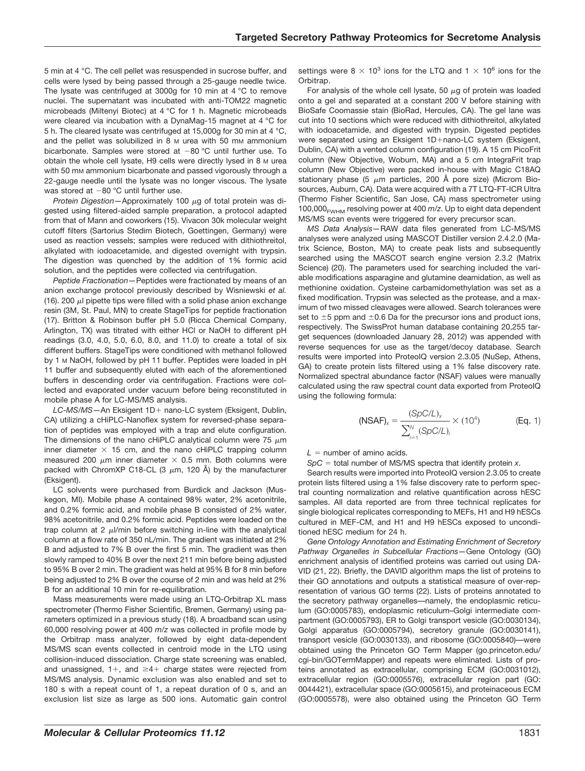5 min at 4 °C. The cell pellet was resuspended in sucrose buffer, and cells were lysed by being passed through a 25-gauge needle twice. The lysate was centrifuged at 3000g for 10 min at 4 °C to remove nuclei. The supernatant was incubated with anti-TOM22 magnetic microbeads (Miltenyi Biotec) at 4 °C for 1 h. Magnetic microbeads were cleared via incubation with a DynaMag-15 magnet at 4 °C for 5 h. The cleared lysate was centrifuged at 15,000g for 30 min at 4 °C, and the pellet was solubilized in 8 M urea with 50 mM ammonium bicarbonate. Samples were stored at -80 °C until further use. To obtain the whole cell lysate, H9 cells were directly lysed in 8 M urea with 50 mm ammonium bicarbonate and passed vigorously through a 22-gauge needle until the lysate was no longer viscous. The lysate was stored at  $-80$  °C until further use.

Protein Digestion–Approximately 100 µg of total protein was digested using filtered-aided sample preparation, a protocol adapted from that of Mann and coworkers (15). Vivacon 30k molecular weight cutoff filters (Sartorius Stedim Biotech, Goettingen, Germany) were used as reaction vessels; samples were reduced with dithiothreitol, alkylated with iodoacetamide, and digested overnight with trypsin. The digestion was quenched by the addition of 1% formic acid solution, and the peptides were collected via centrifugation.

*Peptide Fractionation—*Peptides were fractionated by means of an anion exchange protocol previously described by Wisniewski *et al.* (16). 200  $\mu$ l pipette tips were filled with a solid phase anion exchange resin (3M, St. Paul, MN) to create StageTips for peptide fractionation (17). Britton & Robinson buffer pH 5.0 (Ricca Chemical Company, Arlington, TX) was titrated with either HCl or NaOH to different pH readings (3.0, 4.0, 5.0, 6.0, 8.0, and 11.0) to create a total of six different buffers. StageTips were conditioned with methanol followed by 1 M NaOH, followed by pH 11 buffer. Peptides were loaded in pH 11 buffer and subsequently eluted with each of the aforementioned buffers in descending order via centrifugation. Fractions were collected and evaporated under vacuum before being reconstituted in mobile phase A for LC-MS/MS analysis.

LC-MS/MS-An Eksigent 1D+ nano-LC system (Eksigent, Dublin, CA) utilizing a cHiPLC-Nanoflex system for reversed-phase separation of peptides was employed with a trap and elute configuration. The dimensions of the nano cHiPLC analytical column were 75  $\mu$ m inner diameter  $\times$  15 cm, and the nano cHiPLC trapping column measured 200  $\mu$ m inner diameter  $\times$  0.5 mm. Both columns were packed with ChromXP C18-CL (3  $\mu$ m, 120 Å) by the manufacturer (Eksigent).

LC solvents were purchased from Burdick and Jackson (Muskegon, MI). Mobile phase A contained 98% water, 2% acetonitrile, and 0.2% formic acid, and mobile phase B consisted of 2% water, 98% acetonitrile, and 0.2% formic acid. Peptides were loaded on the trap column at 2  $\mu$ l/min before switching in-line with the analytical column at a flow rate of 350 nL/min. The gradient was initiated at 2% B and adjusted to 7% B over the first 5 min. The gradient was then slowly ramped to 40% B over the next 211 min before being adjusted to 95% B over 2 min. The gradient was held at 95% B for 8 min before being adjusted to 2% B over the course of 2 min and was held at 2% B for an additional 10 min for re-equilibration.

Mass measurements were made using an LTQ-Orbitrap XL mass spectrometer (Thermo Fisher Scientific, Bremen, Germany) using parameters optimized in a previous study (18). A broadband scan using 60,000 resolving power at 400 *m*/*z* was collected in profile mode by the Orbitrap mass analyzer, followed by eight data-dependent MS/MS scan events collected in centroid mode in the LTQ using collision-induced dissociation. Charge state screening was enabled, and unassigned,  $1+$ , and  $\geq 4+$  charge states were rejected from MS/MS analysis. Dynamic exclusion was also enabled and set to 180 s with a repeat count of 1, a repeat duration of 0 s, and an exclusion list size as large as 500 ions. Automatic gain control

settings were 8  $\times$  10<sup>3</sup> ions for the LTQ and 1  $\times$  10<sup>6</sup> ions for the Orbitrap.

For analysis of the whole cell lysate, 50  $\mu$ g of protein was loaded onto a gel and separated at a constant 200 V before staining with BioSafe Coomassie stain (BioRad, Hercules, CA). The gel lane was cut into 10 sections which were reduced with dithiothreitol, alkylated with iodoacetamide, and digested with trypsin. Digested peptides were separated using an Eksigent 1D+nano-LC system (Eksigent, Dublin, CA) with a vented column configuration (19). A 15 cm PicoFrit column (New Objective, Woburn, MA) and a 5 cm IntegraFrit trap column (New Objective) were packed in-house with Magic C18AQ stationary phase (5  $\mu$ m particles, 200 Å pore size) (Microm Biosources, Auburn, CA). Data were acquired with a 7T LTQ-FT-ICR Ultra (Thermo Fisher Scientific, San Jose, CA) mass spectrometer using 100,000FWHM resolving power at 400 *m*/*z*. Up to eight data dependent MS/MS scan events were triggered for every precursor scan.

*MS Data Analysis—*RAW data files generated from LC-MS/MS analyses were analyzed using MASCOT Distiller version 2.4.2.0 (Matrix Science, Boston, MA) to create peak lists and subsequently searched using the MASCOT search engine version 2.3.2 (Matrix Science) (20). The parameters used for searching included the variable modifications asparagine and glutamine deamidation, as well as methionine oxidation. Cysteine carbamidomethylation was set as a fixed modification. Trypsin was selected as the protease, and a maximum of two missed cleavages were allowed. Search tolerances were set to  $\pm 5$  ppm and  $\pm 0.6$  Da for the precursor ions and product ions, respectively. The SwissProt human database containing 20,255 target sequences (downloaded January 28, 2012) was appended with reverse sequences for use as the target/decoy database. Search results were imported into ProteoIQ version 2.3.05 (NuSep, Athens, GA) to create protein lists filtered using a 1% false discovery rate. Normalized spectral abundance factor (NSAF) values were manually calculated using the raw spectral count data exported from ProteoIQ using the following formula:

$$
(NSAF)_x = \frac{(SpC/L)_x}{\sum_{i=1}^{N} (SpC/L)_i} \times (10^4)
$$
 (Eq. 1)

 $L =$  number of amino acids.

*SpC* total number of MS/MS spectra that identify protein *x*.

Search results were imported into ProteoIQ version 2.3.05 to create protein lists filtered using a 1% false discovery rate to perform spectral counting normalization and relative quantification across hESC samples. All data reported are from three technical replicates for single biological replicates corresponding to MEFs, H1 and H9 hESCs cultured in MEF-CM, and H1 and H9 hESCs exposed to unconditioned hESC medium for 24 h.

*Gene Ontology Annotation and Estimating Enrichment of Secretory Pathway Organelles in Subcellular Fractions—*Gene Ontology (GO) enrichment analysis of identified proteins was carried out using DA-VID (21, 22). Briefly, the DAVID algorithm maps the list of proteins to their GO annotations and outputs a statistical measure of over-representation of various GO terms (22). Lists of proteins annotated to the secretory pathway organelles—namely, the endoplasmic reticulum (GO:0005783), endoplasmic reticulum–Golgi intermediate compartment (GO:0005793), ER to Golgi transport vesicle (GO:0030134), Golgi apparatus (GO:0005794), secretory granule (GO:0030141), transport vesicle (GO:0030133), and ribosome (GO:0005840)—were obtained using the Princeton GO Term Mapper (go.princeton.edu/ cgi-bin/GOTermMapper) and repeats were eliminated. Lists of proteins annotated as extracellular, comprising ECM (GO:0031012), extracellular region (GO:0005576), extracellular region part (GO: 0044421), extracellular space (GO:0005615), and proteinaceous ECM (GO:0005578), were also obtained using the Princeton GO Term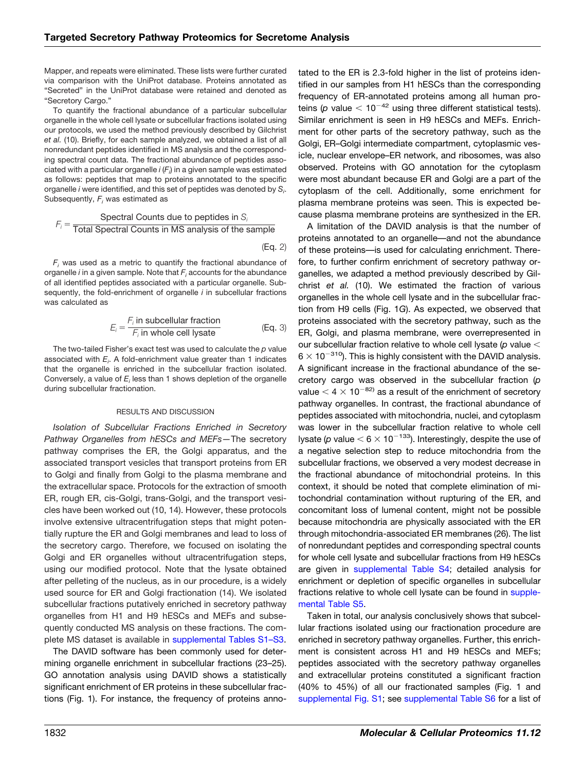Mapper, and repeats were eliminated. These lists were further curated via comparison with the UniProt database. Proteins annotated as "Secreted" in the UniProt database were retained and denoted as "Secretory Cargo."

To quantify the fractional abundance of a particular subcellular organelle in the whole cell lysate or subcellular fractions isolated using our protocols, we used the method previously described by Gilchrist *et al.* (10). Briefly, for each sample analyzed, we obtained a list of all nonredundant peptides identified in MS analysis and the corresponding spectral count data. The fractional abundance of peptides associated with a particular organelle *i* (*F<sup>i</sup>* ) in a given sample was estimated as follows: peptides that map to proteins annotated to the specific organelle *i* were identified, and this set of peptides was denoted by *S<sup>i</sup>* . Subsequently, *F<sup>i</sup>* was estimated as

$$
F_i = \frac{\text{Spectral Counts due to peptides in } S_i}{\text{Total Spectral Counts in MS analysis of the sample}}
$$

(Eq. 2)

*F<sup>i</sup>* was used as a metric to quantify the fractional abundance of organelle *i* in a given sample. Note that *F<sup>i</sup>* accounts for the abundance of all identified peptides associated with a particular organelle. Subsequently, the fold-enrichment of organelle *i* in subcellular fractions was calculated as

$$
E_i = \frac{F_i \text{ in subcellular fraction}}{F_i \text{ in whole cell lysate}} \tag{Eq. 3}
$$

The two-tailed Fisher's exact test was used to calculate the *p* value associated with *E<sup>i</sup>* . A fold-enrichment value greater than 1 indicates that the organelle is enriched in the subcellular fraction isolated. Conversely, a value of  $E_i$  less than 1 shows depletion of the organelle during subcellular fractionation.

#### RESULTS AND DISCUSSION

*Isolation of Subcellular Fractions Enriched in Secretory Pathway Organelles from hESCs and MEFs—*The secretory pathway comprises the ER, the Golgi apparatus, and the associated transport vesicles that transport proteins from ER to Golgi and finally from Golgi to the plasma membrane and the extracellular space. Protocols for the extraction of smooth ER, rough ER, cis-Golgi, trans-Golgi, and the transport vesicles have been worked out (10, 14). However, these protocols involve extensive ultracentrifugation steps that might potentially rupture the ER and Golgi membranes and lead to loss of the secretory cargo. Therefore, we focused on isolating the Golgi and ER organelles without ultracentrifugation steps, using our modified protocol. Note that the lysate obtained after pelleting of the nucleus, as in our procedure, is a widely used source for ER and Golgi fractionation (14). We isolated subcellular fractions putatively enriched in secretory pathway organelles from H1 and H9 hESCs and MEFs and subsequently conducted MS analysis on these fractions. The complete MS dataset is available in supplemental Tables S1–S3.

The DAVID software has been commonly used for determining organelle enrichment in subcellular fractions (23–25). GO annotation analysis using DAVID shows a statistically significant enrichment of ER proteins in these subcellular fractions (Fig. 1). For instance, the frequency of proteins annotated to the ER is 2.3-fold higher in the list of proteins identified in our samples from H1 hESCs than the corresponding frequency of ER-annotated proteins among all human proteins (*p* value  $< 10^{-42}$  using three different statistical tests). Similar enrichment is seen in H9 hESCs and MEFs. Enrichment for other parts of the secretory pathway, such as the Golgi, ER–Golgi intermediate compartment, cytoplasmic vesicle, nuclear envelope–ER network, and ribosomes, was also observed. Proteins with GO annotation for the cytoplasm were most abundant because ER and Golgi are a part of the cytoplasm of the cell. Additionally, some enrichment for plasma membrane proteins was seen. This is expected because plasma membrane proteins are synthesized in the ER.

A limitation of the DAVID analysis is that the number of proteins annotated to an organelle—and not the abundance of these proteins—is used for calculating enrichment. Therefore, to further confirm enrichment of secretory pathway organelles, we adapted a method previously described by Gilchrist *et al.* (10). We estimated the fraction of various organelles in the whole cell lysate and in the subcellular fraction from H9 cells (Fig. 1*G*). As expected, we observed that proteins associated with the secretory pathway, such as the ER, Golgi, and plasma membrane, were overrepresented in our subcellular fraction relative to whole cell lysate (*p* value  $6 \times 10^{-310}$ ). This is highly consistent with the DAVID analysis. A significant increase in the fractional abundance of the secretory cargo was observed in the subcellular fraction (*p* value  $<$  4  $\times$  10<sup>-82)</sup> as a result of the enrichment of secretory pathway organelles. In contrast, the fractional abundance of peptides associated with mitochondria, nuclei, and cytoplasm was lower in the subcellular fraction relative to whole cell lysate (p value  $<$  6  $\times$  10<sup>-133</sup>). Interestingly, despite the use of a negative selection step to reduce mitochondria from the subcellular fractions, we observed a very modest decrease in the fractional abundance of mitochondrial proteins. In this context, it should be noted that complete elimination of mitochondrial contamination without rupturing of the ER, and concomitant loss of lumenal content, might not be possible because mitochondria are physically associated with the ER through mitochondria-associated ER membranes (26). The list of nonredundant peptides and corresponding spectral counts for whole cell lysate and subcellular fractions from H9 hESCs are given in supplemental Table S4; detailed analysis for enrichment or depletion of specific organelles in subcellular fractions relative to whole cell lysate can be found in supplemental Table S5.

Taken in total, our analysis conclusively shows that subcellular fractions isolated using our fractionation procedure are enriched in secretory pathway organelles. Further, this enrichment is consistent across H1 and H9 hESCs and MEFs; peptides associated with the secretory pathway organelles and extracellular proteins constituted a significant fraction (40% to 45%) of all our fractionated samples (Fig. 1 and supplemental Fig. S1; see supplemental Table S6 for a list of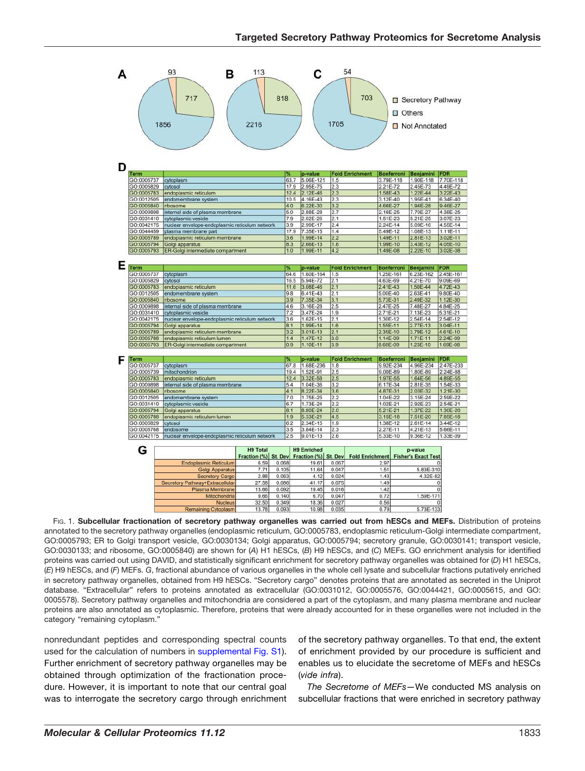|   |                          | 93<br>в                                                 | 113                  |                |              |                       |                | 54                     |                       |                            |                       |
|---|--------------------------|---------------------------------------------------------|----------------------|----------------|--------------|-----------------------|----------------|------------------------|-----------------------|----------------------------|-----------------------|
|   |                          |                                                         |                      |                |              |                       |                |                        |                       |                            |                       |
|   |                          | 717                                                     |                      | 818            |              |                       |                | 703                    |                       | Secretory Pathway          |                       |
|   |                          |                                                         |                      |                |              |                       |                |                        |                       |                            |                       |
|   |                          |                                                         |                      |                |              |                       |                |                        |                       | $\Box$ Others              |                       |
|   |                          | 1856                                                    | 2216                 |                |              |                       | 1705           |                        |                       | Not Annotated              |                       |
|   |                          |                                                         |                      |                |              |                       |                |                        |                       |                            |                       |
|   |                          |                                                         |                      |                |              |                       |                |                        |                       |                            |                       |
|   |                          |                                                         |                      |                |              |                       |                |                        |                       |                            |                       |
| D |                          |                                                         |                      |                |              |                       |                |                        |                       |                            |                       |
|   | Term                     |                                                         |                      |                | ℅            | p-value               |                | <b>Fold Enrichment</b> | <b>Bonferroni</b>     | <b>Benjamini</b>           | FDR                   |
|   | GO:0005737<br>GO:0005829 | cytoplasm                                               |                      |                | 63.7<br>17.9 | 5.06E-121<br>2.95E-75 | 1.5<br>2.3     |                        | 3.79E-118<br>2.21E-72 | 1.90E-118<br>2.45E-73      | 7.70E-118<br>4.49E-72 |
|   | GO:0005783               | cytosol<br>endoplasmic reticulum                        |                      |                | 12.4         | 2.12E-46              | 2.3            |                        | 1.58E-43              | 1.22E-44                   | 3.22E-43              |
|   | GO:0012505               | endomembrane system                                     |                      |                | 10.5         | 4.16E-43              | 2.3            |                        | 3.12E-40              | 1.95E-41                   | 6.34E-40              |
|   | GO:0005840               | ribosome                                                |                      |                | 4.0          | 6.22E-30              | 3.2            |                        | 4.66E-27              | 1.94E-28                   | 9.46E-27              |
|   | GO:0009898               | internal side of plasma membrane                        |                      |                | 5.0          | 2.88E-28              | 2.7            |                        | 2.16E-25              | 7.70E-27                   | 4.38E-25              |
|   | GO:0031410               | cytoplasmic vesicle                                     |                      |                | 7.9          | 2.02E-26              | 2:1            |                        | 1.51E-23              | 5.21E-25                   | 3.07E-23              |
|   | GO:0042175               | nuclear envelope-endoplasmic reticulum network          |                      |                | 3.9          | 2.99E-17              | 2.4            |                        | 2.24E-14              | 5.09E-16                   | 4.55E-14              |
|   | GO:0044459               | plasma membrane part                                    |                      |                | 17.9         | 7.35E-15              | 1.4            |                        | 5.49E-12              | 1.08E-13                   | 1.11E-11              |
|   | GO:0005789               | endoplasmic reticulum membrane                          |                      |                | 3.6          | 1.99E-14              | 2.2            |                        | 1.49E-11              | 2.81E-13                   | 3.02E-11              |
|   | GO:0005794               | Golgi apparatus                                         |                      |                | 8.3          | 2.66E-13              | 1.6            |                        | 1.99E-10              | 3.43E-12                   | 4.05E-10              |
|   | GO:0005793               | ER-Golgi intermediate compartment                       |                      |                | 1.0          | 1.99E-11              | 4.2            |                        | 1.49E-08              | 2.22E-10                   | 3.02E-08              |
|   |                          |                                                         |                      |                |              |                       |                |                        |                       |                            |                       |
| Е | <b>Term</b>              |                                                         |                      |                | %            | p-value               |                | <b>Fold Enrichment</b> | Bonferroni            | Benjamini                  | FDR                   |
|   | GO:0005737               | cytoplasm                                               |                      |                | 64.6         | 1.60E-164             | 1.5            |                        | 1.25E-161             | 6.23E-162                  | 2.45E-161             |
|   | GO:0005829               | cytosol                                                 |                      |                | 16.5         | 5.94E-72              | 2.1            |                        | 4.63E-69              | 4.21E-70                   | 9.09E-69              |
|   | GO:0005783               | endoplasmic reticulum                                   |                      |                | 11.6         | 3.08E-46              | 2.1            |                        | 2.41E-43              | 1.50E-44                   | 4.72E-43              |
|   | GO:0012505               | endomembrane system                                     |                      |                | 9.8          | 6.41E-43              | 2.1            |                        | 5.00E-40              | 2.63E-41                   | 9.80E-40              |
|   | GO:0005840<br>GO:0009898 | ribosome                                                |                      |                | 3.9<br>4.6   | 7.35E-34              | 3.1<br>2.5     |                        | 5.73E-31              | 2.49E-32                   | 1.12E-30              |
|   | GO:0031410               | internal side of plasma membrane<br>cytoplasmic vesicle |                      |                | 7.2          | 3.16E-28<br>3.47E-24  | 1.9            |                        | 2.47E-25<br>2.71E-21  | 7.48E-27<br>7.13E-23       | 4.84E-25<br>5.31E-21  |
|   | GO:0042175               | nuclear envelope-endoplasmic reticulum network          |                      |                | 3.6          | 1.62E-15              | 2.1            |                        | 1.30E-12              | 2.54E-14                   | 2.54E-12              |
|   | GO:0005794               | Golgi apparatus                                         |                      |                | 8.1          | 1.99E-14              | 1.6            |                        | 1.55E-11              | 2.77E-13                   | 3.04E-11              |
|   | GO:0005789               | endoplasmic reticulum membrane                          |                      |                | 3.2          | 3.01E-13              | 2.1            |                        | 2.35E-10              | 3.79E-12                   | 4.61E-10              |
|   | GO:0005788               | endoplasmic reticulum lumen                             |                      |                | 1.4          | 1.47E-12              | 3.0            |                        | 1.14E-09              | 1.71E-11                   | 2.24E-09              |
|   | GO:0005793               | ER-Golgi intermediate compartment                       |                      |                | 0.9          | 1.10E-11              | 3.9            |                        | 8.60E-09              | 1.23E-10                   | 1.69E-08              |
|   |                          |                                                         |                      |                |              |                       |                |                        |                       |                            |                       |
| F | Term                     |                                                         |                      |                | ₩            | p-value               |                | <b>Fold Enrichment</b> | <b>Bonferroni</b>     | Benjamini                  | <b>FDR</b>            |
|   | GO:0005737               | cytoplasm                                               |                      |                | 67.8         | 1.68E-236             | 1.8            |                        | 9.92E-234             | 4.96E-234                  | 2.47E-233             |
|   | GO:0005739               | mitochondrion                                           |                      |                | 19.4         | 1.52E-91              | 2.5            |                        | 9.00E-89              | 1.80E-89                   | 2.24E-88              |
|   | GO:0005783               | endoplasmic reticulum                                   |                      |                | 12.4         | 3.32E-58              | 2.5            |                        | 1.97E-55              | 1.64E-56                   | 4.89E-55              |
|   | GO:0009898               | internal side of plasma membrane                        |                      |                | 5.4          | 1.04E-36              | 3.2            |                        | 6.17E-34              | 2.81E-35                   | 1.54E-33              |
|   | GO:0005840               | ribosome                                                |                      |                | 4.1          | 8.22E-34              | 3.6            |                        | 4.87E-31              | 2.03E-32                   | 1.21E-30              |
|   | GO:0012505<br>GO:0031410 | endomembrane system                                     |                      |                | 7.0<br>6.7   | 1.75E-25<br>1.73E-24  | 2.2<br>2.2     |                        | 1.04E-22<br>1.02E-21  | 3.15E-24<br>2.92E-23       | 2.59E-22<br>2.54E-21  |
|   | GO:0005794               | cytoplasmic vesicle<br>Golgi apparatus                  |                      |                | 8.1          | 8.80E-24              | 2.0            |                        | 5.21E-21              | 1.37E-22                   | 1.30E-20              |
|   | GO:0005788               | endoplasmic reticulum lumen                             |                      |                | 1.9          | 5.33E-21              | 4.5            |                        | 3.15E-18              | 7.51E-20                   | 7.85E-18              |
|   | GO:0005829               | cytosol                                                 |                      |                | 6.2          | 2.34E-15              | 1.9            |                        | 1.38E-12              | $2.61E-14$                 | 3.44E-12              |
|   | GO:0005768               | endosome                                                |                      |                | 3.5          | 3.84E-14              | 2.3            |                        | 2.27E-11              | 4.21E-13                   | 5.66E-11              |
|   | GO:0042175               | nuclear envelope-endoplasmic reticulum network          |                      |                | 2.5          | 9.01E-13              | 2.6            |                        | 5.33E-10              | 9.36E-12                   | 1.33E-09              |
|   |                          |                                                         |                      |                |              |                       |                |                        |                       |                            |                       |
|   | G                        |                                                         | <b>H9 Total</b>      |                |              | <b>H9 Enriched</b>    |                |                        |                       | p-value                    |                       |
|   |                          |                                                         | Fraction (%) St. Dev |                |              | Fraction (%) St. Dev  |                | <b>Fold Enrichment</b> |                       | <b>Fisher's Exact Test</b> |                       |
|   |                          | <b>Endoplasmic Reticulum</b>                            | 6.59                 | 0.068          |              | 19.61                 | 0.067          |                        | 2.97                  |                            | 0                     |
|   |                          | Golgi Apparatus                                         | 7.71                 | 0.105          |              | 11.64                 | 0.047          |                        | 1.51                  | 5.83E-310                  |                       |
|   |                          | <b>Secretory Cargo</b>                                  | 2.88<br>27.58        | 0.063<br>0.086 |              | 4.12<br>41.17         | 0.024<br>0.075 |                        | 1.43<br>1.49          | 4.32E-82                   |                       |
|   |                          | Secretory Pathway+Extracellular<br>Plasma Membrane      | 13.66                | 0.092          |              | 19.45                 | 0.016          |                        | 1.42                  |                            | 0<br>Ö                |
|   |                          | Mitochondria                                            | 9.66                 | 0.140          |              | 6.70                  | 0.047          |                        | 0.72                  | 1.59E-171                  |                       |
|   |                          | <b>Nucleus</b>                                          | 32.50                | 0.349          |              | 18.36                 | 0.027          |                        | 0.56                  |                            | 0                     |
|   |                          | Remaining Cytoplasm                                     | 13.78                | 0.093          |              | 10.98                 | 0.035          |                        | 0.79                  | 5.73E-133                  |                       |

FIG. 1. **Subcellular fractionation of secretory pathway organelles was carried out from hESCs and MEFs.** Distribution of proteins annotated to the secretory pathway organelles (endoplasmic reticulum, GO:0005783, endoplasmic reticulum-Golgi intermediate compartment, GO:0005793; ER to Golgi transport vesicle, GO:0030134; Golgi apparatus, GO:0005794; secretory granule, GO:0030141; transport vesicle, GO:0030133; and ribosome, GO:0005840) are shown for (*A*) H1 hESCs, (*B*) H9 hESCs, and (*C*) MEFs. GO enrichment analysis for identified proteins was carried out using DAVID, and statistically significant enrichment for secretory pathway organelles was obtained for (*D*) H1 hESCs, (*E*) H9 hESCs, and (*F*) MEFs. *G*, fractional abundance of various organelles in the whole cell lysate and subcellular fractions putatively enriched in secretory pathway organelles, obtained from H9 hESCs. "Secretory cargo" denotes proteins that are annotated as secreted in the Uniprot database. "Extracellular" refers to proteins annotated as extracellular (GO:0031012, GO:0005576, GO:0044421, GO:0005615, and GO: 0005578). Secretory pathway organelles and mitochondria are considered a part of the cytoplasm, and many plasma membrane and nuclear proteins are also annotated as cytoplasmic. Therefore, proteins that were already accounted for in these organelles were not included in the category "remaining cytoplasm."

nonredundant peptides and corresponding spectral counts used for the calculation of numbers in supplemental Fig. S1). Further enrichment of secretory pathway organelles may be obtained through optimization of the fractionation procedure. However, it is important to note that our central goal was to interrogate the secretory cargo through enrichment of the secretory pathway organelles. To that end, the extent of enrichment provided by our procedure is sufficient and enables us to elucidate the secretome of MEFs and hESCs (*vide infra*).

*The Secretome of MEFs—*We conducted MS analysis on subcellular fractions that were enriched in secretory pathway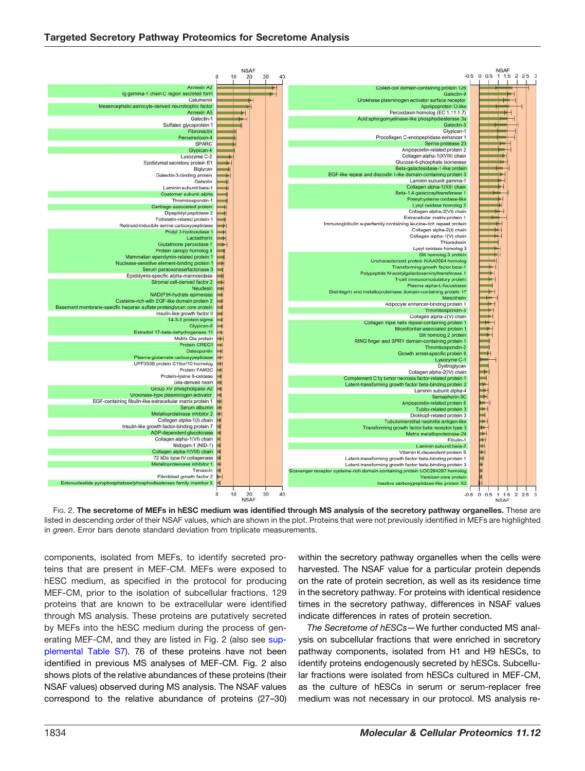

FIG. 2. **The secretome of MEFs in hESC medium was identified through MS analysis of the secretory pathway organelles.** These are listed in descending order of their NSAF values, which are shown in the plot. Proteins that were not previously identified in MEFs are highlighted in *green*. Error bars denote standard deviation from triplicate measurements.

components, isolated from MEFs, to identify secreted proteins that are present in MEF-CM. MEFs were exposed to hESC medium, as specified in the protocol for producing MEF-CM, prior to the isolation of subcellular fractions. 129 proteins that are known to be extracellular were identified through MS analysis. These proteins are putatively secreted by MEFs into the hESC medium during the process of generating MEF-CM, and they are listed in Fig. 2 (also see supplemental Table S7). 76 of these proteins have not been identified in previous MS analyses of MEF-CM. Fig. 2 also shows plots of the relative abundances of these proteins (their NSAF values) observed during MS analysis. The NSAF values correspond to the relative abundance of proteins (27–30)

within the secretory pathway organelles when the cells were harvested. The NSAF value for a particular protein depends on the rate of protein secretion, as well as its residence time in the secretory pathway. For proteins with identical residence times in the secretory pathway, differences in NSAF values indicate differences in rates of protein secretion.

*The Secretome of hESCs—*We further conducted MS analysis on subcellular fractions that were enriched in secretory pathway components, isolated from H1 and H9 hESCs, to identify proteins endogenously secreted by hESCs. Subcellular fractions were isolated from hESCs cultured in MEF-CM, as the culture of hESCs in serum or serum-replacer free medium was not necessary in our protocol. MS analysis re-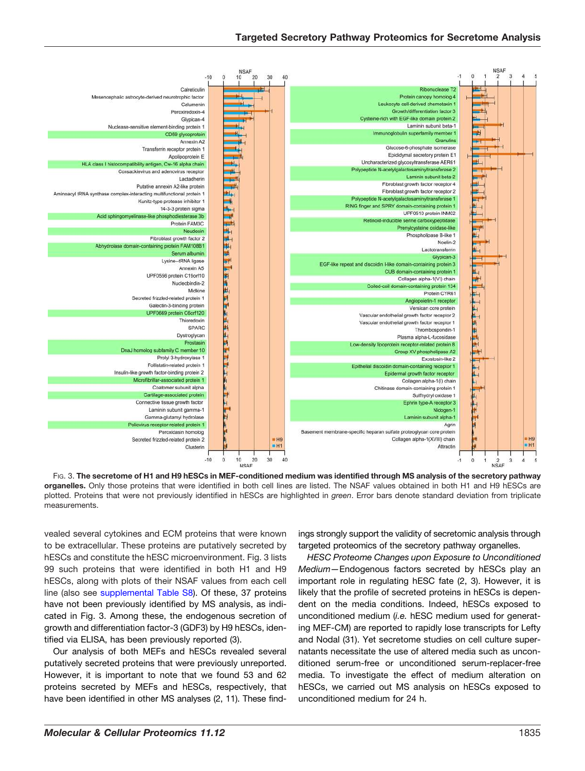

FIG. 3. **The secretome of H1 and H9 hESCs in MEF-conditioned medium was identified through MS analysis of the secretory pathway organelles.** Only those proteins that were identified in both cell lines are listed. The NSAF values obtained in both H1 and H9 hESCs are plotted. Proteins that were not previously identified in hESCs are highlighted in *green*. Error bars denote standard deviation from triplicate measurements.

vealed several cytokines and ECM proteins that were known to be extracellular. These proteins are putatively secreted by hESCs and constitute the hESC microenvironment. Fig. 3 lists 99 such proteins that were identified in both H1 and H9 hESCs, along with plots of their NSAF values from each cell line (also see supplemental Table S8). Of these, 37 proteins have not been previously identified by MS analysis, as indicated in Fig. 3. Among these, the endogenous secretion of growth and differentiation factor-3 (GDF3) by H9 hESCs, identified via ELISA, has been previously reported (3).

Our analysis of both MEFs and hESCs revealed several putatively secreted proteins that were previously unreported. However, it is important to note that we found 53 and 62 proteins secreted by MEFs and hESCs, respectively, that have been identified in other MS analyses (2, 11). These find-

ings strongly support the validity of secretomic analysis through targeted proteomics of the secretory pathway organelles.

*HESC Proteome Changes upon Exposure to Unconditioned Medium—*Endogenous factors secreted by hESCs play an important role in regulating hESC fate (2, 3). However, it is likely that the profile of secreted proteins in hESCs is dependent on the media conditions. Indeed, hESCs exposed to unconditioned medium (*i.e.* hESC medium used for generating MEF-CM) are reported to rapidly lose transcripts for Lefty and Nodal (31). Yet secretome studies on cell culture supernatants necessitate the use of altered media such as unconditioned serum-free or unconditioned serum-replacer-free media. To investigate the effect of medium alteration on hESCs, we carried out MS analysis on hESCs exposed to unconditioned medium for 24 h.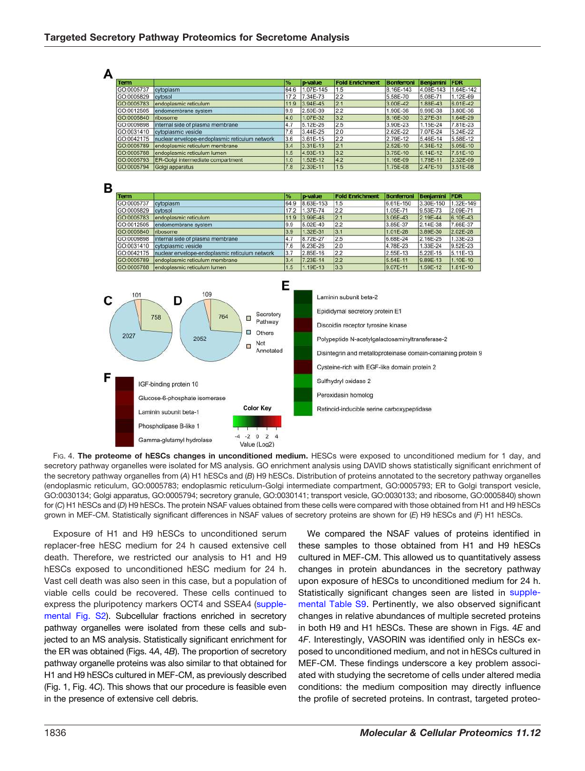$A_{-}$ 

| GO:0005737                                                          |                                                                                                     |      |              |                                                                                                                                                                                                                                                                     |                   |           |                                  |
|---------------------------------------------------------------------|-----------------------------------------------------------------------------------------------------|------|--------------|---------------------------------------------------------------------------------------------------------------------------------------------------------------------------------------------------------------------------------------------------------------------|-------------------|-----------|----------------------------------|
|                                                                     | cytoplasm                                                                                           | 64.6 | 1.07E-145    | 1.5                                                                                                                                                                                                                                                                 | 8.16E-143         | 4.08E-143 | 1.64E-142                        |
| GO:0005829                                                          | cytosol                                                                                             | 17.2 | 7.34E-73     | 2.2                                                                                                                                                                                                                                                                 | 5.58E-70          | 5.08E-71  | 1.12E-69                         |
| GO:0005783                                                          | endoplasmic reticulum                                                                               | 11.9 | 3.94E-45     | 2.1                                                                                                                                                                                                                                                                 | 3.00E-42          | 1.88E-43  | 6.01E-42                         |
| GO:0012505                                                          | endomembrane system                                                                                 | 9.9  | 2.50E-39     | 2.2                                                                                                                                                                                                                                                                 | 1.90E-36          | 9.99E-38  | 3.80E-36                         |
| GO:0005840                                                          | ribosome                                                                                            | 4.0  | 1.07E-32     | 3.2                                                                                                                                                                                                                                                                 | 8.16E-30          | 3.27E-31  | 1.64E-29                         |
| GO:0009898                                                          | internal side of plasma membrane                                                                    | 4.7  | 5.12E-26     | 2.5                                                                                                                                                                                                                                                                 | 3.90E-23          | 1.15E-24  | 7.81E-23                         |
| GO:0031410                                                          | cytoplasmic vesicle                                                                                 | 7.6  | 3.44E-25     | 2.0                                                                                                                                                                                                                                                                 | 2.62E-22          | 7.07E-24  | 5.24E-22                         |
| GO:0042175                                                          | nuclear envelope-endoplasmic reticulum network                                                      | 3.6  | $3.61E-15$   | 2.2                                                                                                                                                                                                                                                                 | 2.79E-12          | 5.46E-14  | 5.58E-12                         |
| GO:0005789                                                          | endoplasmic reticulum membrane                                                                      | 3.4  | $3.31E-13$   | 2.1                                                                                                                                                                                                                                                                 | 2.52E-10          | 4.34E-12  | 5.05E-10                         |
| GO:0005788                                                          | endoplasmic reticulum lumen                                                                         | 1.5  | 4.93E-13     | 3.2                                                                                                                                                                                                                                                                 | 3.75E-10          | 6.14E-12  | 7.51E-10                         |
| GO:0005793                                                          | ER-Golgi intermediate compartment                                                                   | 1.0  | $1.52E - 12$ | 4.2                                                                                                                                                                                                                                                                 | 1.16E-09          | 1.78E-11  | 2.32E-09                         |
| GO:0005794                                                          | Golgi apparatus                                                                                     | 7.8  | 2.30E-11     | 1.5                                                                                                                                                                                                                                                                 | 1.75E-08          | 2.47E-10  | 3.51E-08                         |
|                                                                     |                                                                                                     |      |              |                                                                                                                                                                                                                                                                     |                   |           |                                  |
| <b>Term</b>                                                         |                                                                                                     | %    | p-value      | <b>Fold Enrichment</b>                                                                                                                                                                                                                                              | <b>Bonferroni</b> | Benjamini | <b>FDR</b>                       |
| GO:0005737                                                          | cytoplasm                                                                                           | 64.9 | 8.63E-153    | 1.5                                                                                                                                                                                                                                                                 | 6.61E-150         | 3.30E-150 | 1.32E-149                        |
| GO:0005829                                                          | cytosol                                                                                             | 17.2 | 1.37E-74     | 2.2                                                                                                                                                                                                                                                                 | 1.05E-71          | 9.53E-73  | 2.09E-71                         |
| GO:0005783                                                          | endoplasmic reticulum                                                                               | 11.9 | 3.99E-46     | 2.1                                                                                                                                                                                                                                                                 | 3.06E-43          | 2.19E-44  | 6.10E-43                         |
| GO:0012505                                                          | endomembrane system                                                                                 | 9.9  | 5.02E-40     | 2.2                                                                                                                                                                                                                                                                 | 3.85E-37          | 2.14E-38  | 7.66E-37                         |
| GO:0005840                                                          | ribosome                                                                                            | 3.9  | 1.32E-31     | 3.1                                                                                                                                                                                                                                                                 | 1.01E-28          | 3.89E-30  | 2.02E-28                         |
| GO:0009898                                                          | internal side of plasma membrane                                                                    | 4.7  | 8.72E-27     | 2.5                                                                                                                                                                                                                                                                 | 6.68E-24          | 2.16E-25  | 1.33E-23                         |
|                                                                     | cytoplasmic vesicle                                                                                 | 7.6  | 6.23E-26     | 2.0                                                                                                                                                                                                                                                                 | 4.78E-23          | 1.33E-24  | 9.52E-23                         |
|                                                                     |                                                                                                     |      |              |                                                                                                                                                                                                                                                                     |                   |           |                                  |
|                                                                     | nuclear envelope-endoplasmic reticulum network                                                      | 3.7  | 2.85E-16     | 2.2                                                                                                                                                                                                                                                                 | 2.55E-13          | 5.22E-15  |                                  |
|                                                                     | endoplasmic reticulum membrane                                                                      | 3.4  | 7.23E-14     | 2.2                                                                                                                                                                                                                                                                 | 5.54E-11          | 9.89E-13  |                                  |
|                                                                     | endoplasmic reticulum lumen                                                                         | 1.5  | 1.19E-13     | 3.3                                                                                                                                                                                                                                                                 | 9.07E-11          | 1.59E-12  | 5.11E-13<br>1.10E-10<br>1.81E-10 |
| GO:0031410<br>GO:0042175<br>GO:0005789<br>GO:0005788<br>101<br>2027 | 109<br>D<br>Secretory<br>764<br>758<br>п<br>Pathway<br>о<br>Others<br>2052<br>Not<br>n<br>Annotated | Е    |              | Laminin subunit beta-2<br>Epididymal secretory protein E1<br>Discoidin receptor tyrosine kinase<br>Polypeptide N-acetylgalactosaminyltransferase-2<br>Disintegrin and metalloproteinase domain-containing protein 9<br>Cysteine-rich with EGF-like domain protein 2 |                   |           |                                  |
|                                                                     | IGF-binding protein 10<br>Glucose-6-phosphate isomerase                                             |      |              | Sulfhydryl oxidase 2<br>Peroxidasin homolog                                                                                                                                                                                                                         |                   |           |                                  |
|                                                                     | <b>Color Key</b><br>Laminin subunit beta-1<br>Phospholipase B-like 1                                |      |              | Retinoid-inducible serine carboxypeptidase                                                                                                                                                                                                                          |                   |           |                                  |

FIG. 4. **The proteome of hESCs changes in unconditioned medium.** HESCs were exposed to unconditioned medium for 1 day, and secretory pathway organelles were isolated for MS analysis. GO enrichment analysis using DAVID shows statistically significant enrichment of the secretory pathway organelles from (*A*) H1 hESCs and (*B*) H9 hESCs. Distribution of proteins annotated to the secretory pathway organelles (endoplasmic reticulum, GO:0005783; endoplasmic reticulum-Golgi intermediate compartment, GO:0005793; ER to Golgi transport vesicle, GO:0030134; Golgi apparatus, GO:0005794; secretory granule, GO:0030141; transport vesicle, GO:0030133; and ribosome, GO:0005840) shown for (*C*) H1 hESCs and (*D*) H9 hESCs. The protein NSAF values obtained from these cells were compared with those obtained from H1 and H9 hESCs grown in MEF-CM. Statistically significant differences in NSAF values of secretory proteins are shown for (*E*) H9 hESCs and (*F*) H1 hESCs.

Exposure of H1 and H9 hESCs to unconditioned serum replacer-free hESC medium for 24 h caused extensive cell death. Therefore, we restricted our analysis to H1 and H9 hESCs exposed to unconditioned hESC medium for 24 h. Vast cell death was also seen in this case, but a population of viable cells could be recovered. These cells continued to express the pluripotency markers OCT4 and SSEA4 (supplemental Fig. S2). Subcellular fractions enriched in secretory pathway organelles were isolated from these cells and subjected to an MS analysis. Statistically significant enrichment for the ER was obtained (Figs. 4*A*, 4*B*). The proportion of secretory pathway organelle proteins was also similar to that obtained for H1 and H9 hESCs cultured in MEF-CM, as previously described (Fig. 1, Fig. 4*C*). This shows that our procedure is feasible even in the presence of extensive cell debris.

We compared the NSAF values of proteins identified in these samples to those obtained from H1 and H9 hESCs cultured in MEF-CM. This allowed us to quantitatively assess changes in protein abundances in the secretory pathway upon exposure of hESCs to unconditioned medium for 24 h. Statistically significant changes seen are listed in supplemental Table S9. Pertinently, we also observed significant changes in relative abundances of multiple secreted proteins in both H9 and H1 hESCs. These are shown in Figs. 4*E* and 4*F*. Interestingly, VASORIN was identified only in hESCs exposed to unconditioned medium, and not in hESCs cultured in MEF-CM. These findings underscore a key problem associated with studying the secretome of cells under altered media conditions: the medium composition may directly influence the profile of secreted proteins. In contrast, targeted proteo-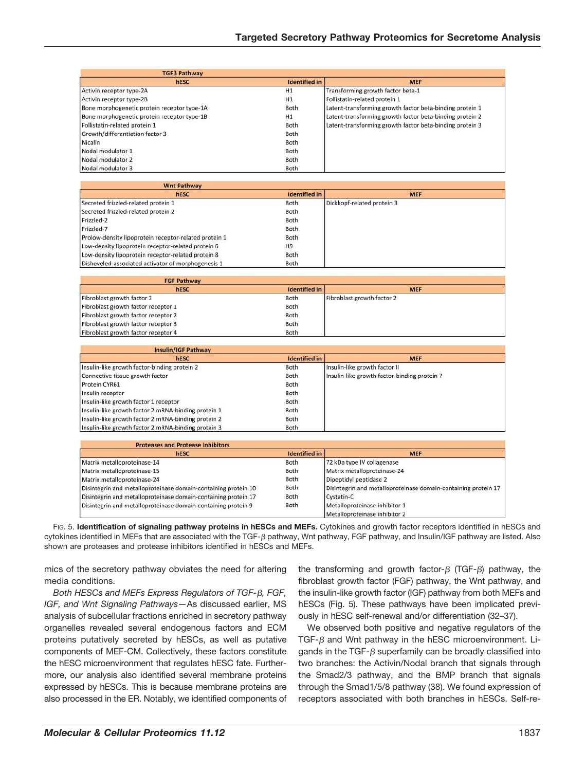| TGFB Pathway                                |                      |                                                          |
|---------------------------------------------|----------------------|----------------------------------------------------------|
| hESC                                        | <b>Identified</b> in | <b>MEF</b>                                               |
| Activin receptor type-2A                    | H1                   | Transforming growth factor beta-1                        |
| Activin receptor type-2B                    | H1                   | Follistatin-related protein 1                            |
| Bone morphogenetic protein receptor type-1A | Both                 | Latent-transforming growth factor beta-binding protein 1 |
| Bone morphogenetic protein receptor type-1B | H1                   | Latent-transforming growth factor beta-binding protein 2 |
| Follistatin-related protein 1               | Both                 | Latent-transforming growth factor beta-binding protein 3 |
| Growth/differentiation factor 3             | Both                 |                                                          |
| Nicalin                                     | Both                 |                                                          |
| Nodal modulator 1                           | <b>Both</b>          |                                                          |
| Nodal modulator 2                           | Both                 |                                                          |
| Nodal modulator 3                           | Both                 |                                                          |

| <b>Wnt Pathway</b>                                    |                      |                            |  |
|-------------------------------------------------------|----------------------|----------------------------|--|
| hESC                                                  | <b>Identified in</b> | <b>MEF</b>                 |  |
| Secreted frizzled-related protein 1                   | Both                 | Dickkopf-related protein 3 |  |
| Secreted frizzled-related protein 2                   | Both                 |                            |  |
| Frizzled-2                                            | <b>Both</b>          |                            |  |
| Frizzled-7                                            | Both                 |                            |  |
| Prolow-density lipoprotein receptor-related protein 1 | Both                 |                            |  |
| Low-density lipoprotein receptor-related protein 6    | H <sub>9</sub>       |                            |  |
| Low-density lipoprotein receptor-related protein 8    | Both                 |                            |  |
| Disheveled-associated activator of morphogenesis 1    | Both                 |                            |  |

| <b>FGF Pathway</b>                  |                      |                            |
|-------------------------------------|----------------------|----------------------------|
| hESC                                | <b>Identified in</b> | <b>MEF</b>                 |
| Fibroblast growth factor 2          | Both                 | Fibroblast growth factor 2 |
| Fibroblast growth factor receptor 1 | Both                 |                            |
| Fibroblast growth factor receptor 2 | Both                 |                            |
| Fibroblast growth factor receptor 3 | <b>Both</b>          |                            |
| Fibroblast growth factor receptor 4 | Both                 |                            |

| Insulin/IGF Pathway                                 |                      |                                              |  |
|-----------------------------------------------------|----------------------|----------------------------------------------|--|
| hESC                                                | <b>Identified in</b> | <b>MEF</b>                                   |  |
| Insulin-like growth factor-binding protein 2        | Both                 | Insulin-like growth factor II                |  |
| Connective tissue growth factor                     | Both                 | Insulin-like growth factor-binding protein 7 |  |
| Protein CYR61                                       | Both                 |                                              |  |
| Insulin receptor                                    | Both                 |                                              |  |
| Insulin-like growth factor 1 receptor               | Both                 |                                              |  |
| Insulin-like growth factor 2 mRNA-binding protein 1 | Both                 |                                              |  |
| Insulin-like growth factor 2 mRNA-binding protein 2 | <b>Both</b>          |                                              |  |
| Insulin-like growth factor 2 mRNA-binding protein 3 | Both                 |                                              |  |

| <b>Proteases and Protease Inhibitors</b>                       |                      |                                                                |
|----------------------------------------------------------------|----------------------|----------------------------------------------------------------|
| <b>hESC</b>                                                    | <b>Identified in</b> | <b>MEF</b>                                                     |
| Matrix metalloproteinase-14                                    | Both                 | 72 kDa type IV collagenase                                     |
| Matrix metalloproteinase-15                                    | Both                 | Matrix metalloproteinase-24                                    |
| Matrix metalloproteinase-24                                    | <b>Both</b>          | Dipeptidyl peptidase 2                                         |
| Disintegrin and metalloproteinase domain-containing protein 10 | Both                 | Disintegrin and metalloproteinase domain-containing protein 17 |
| Disintegrin and metalloproteinase domain-containing protein 17 | Both                 | Cystatin-C                                                     |
| Disintegrin and metalloproteinase domain-containing protein 9  | Both                 | Metalloproteinase inhibitor 1                                  |
|                                                                |                      | Metalloproteinase inhibitor 2                                  |

FIG. 5. **Identification of signaling pathway proteins in hESCs and MEFs.** Cytokines and growth factor receptors identified in hESCs and cytokines identified in MEFs that are associated with the TGF- $\beta$  pathway, Wnt pathway, FGF pathway, and Insulin/IGF pathway are listed. Also shown are proteases and protease inhibitors identified in hESCs and MEFs.

mics of the secretory pathway obviates the need for altering media conditions.

*Both HESCs and MEFs Express Regulators of TGF-, FGF, IGF, and Wnt Signaling Pathways—*As discussed earlier, MS analysis of subcellular fractions enriched in secretory pathway organelles revealed several endogenous factors and ECM proteins putatively secreted by hESCs, as well as putative components of MEF-CM. Collectively, these factors constitute the hESC microenvironment that regulates hESC fate. Furthermore, our analysis also identified several membrane proteins expressed by hESCs. This is because membrane proteins are also processed in the ER. Notably, we identified components of

the transforming and growth factor- $\beta$  (TGF- $\beta$ ) pathway, the fibroblast growth factor (FGF) pathway, the Wnt pathway, and the insulin-like growth factor (IGF) pathway from both MEFs and hESCs (Fig. 5). These pathways have been implicated previously in hESC self-renewal and/or differentiation (32–37).

We observed both positive and negative regulators of the TGF- $\beta$  and Wnt pathway in the hESC microenvironment. Ligands in the TGF- $\beta$  superfamily can be broadly classified into two branches: the Activin/Nodal branch that signals through the Smad2/3 pathway, and the BMP branch that signals through the Smad1/5/8 pathway (38). We found expression of receptors associated with both branches in hESCs. Self-re-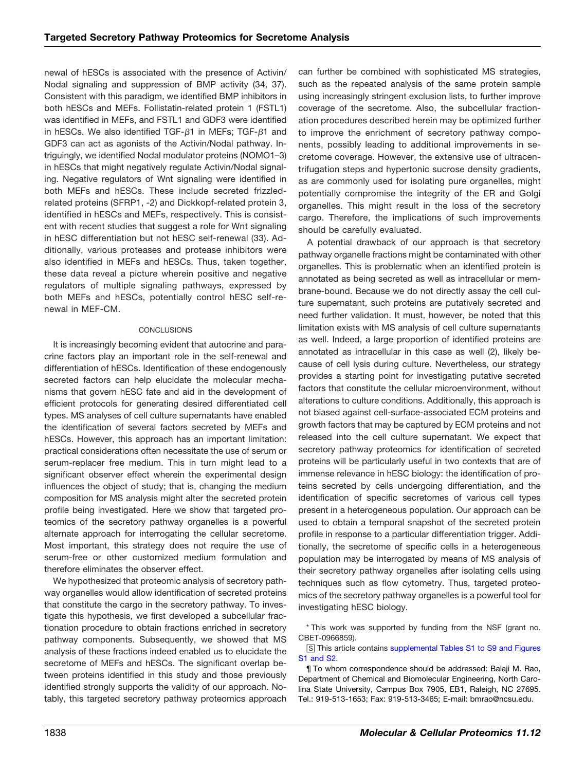newal of hESCs is associated with the presence of Activin/ Nodal signaling and suppression of BMP activity (34, 37). Consistent with this paradigm, we identified BMP inhibitors in both hESCs and MEFs. Follistatin-related protein 1 (FSTL1) was identified in MEFs, and FSTL1 and GDF3 were identified in hESCs. We also identified TGF- $\beta$ 1 in MEFs; TGF- $\beta$ 1 and GDF3 can act as agonists of the Activin/Nodal pathway. Intriguingly, we identified Nodal modulator proteins (NOMO1–3) in hESCs that might negatively regulate Activin/Nodal signaling. Negative regulators of Wnt signaling were identified in both MEFs and hESCs. These include secreted frizzledrelated proteins (SFRP1, -2) and Dickkopf-related protein 3, identified in hESCs and MEFs, respectively. This is consistent with recent studies that suggest a role for Wnt signaling in hESC differentiation but not hESC self-renewal (33). Additionally, various proteases and protease inhibitors were also identified in MEFs and hESCs. Thus, taken together, these data reveal a picture wherein positive and negative regulators of multiple signaling pathways, expressed by both MEFs and hESCs, potentially control hESC self-renewal in MEF-CM.

### CONCLUSIONS

It is increasingly becoming evident that autocrine and paracrine factors play an important role in the self-renewal and differentiation of hESCs. Identification of these endogenously secreted factors can help elucidate the molecular mechanisms that govern hESC fate and aid in the development of efficient protocols for generating desired differentiated cell types. MS analyses of cell culture supernatants have enabled the identification of several factors secreted by MEFs and hESCs. However, this approach has an important limitation: practical considerations often necessitate the use of serum or serum-replacer free medium. This in turn might lead to a significant observer effect wherein the experimental design influences the object of study; that is, changing the medium composition for MS analysis might alter the secreted protein profile being investigated. Here we show that targeted proteomics of the secretory pathway organelles is a powerful alternate approach for interrogating the cellular secretome. Most important, this strategy does not require the use of serum-free or other customized medium formulation and therefore eliminates the observer effect.

We hypothesized that proteomic analysis of secretory pathway organelles would allow identification of secreted proteins that constitute the cargo in the secretory pathway. To investigate this hypothesis, we first developed a subcellular fractionation procedure to obtain fractions enriched in secretory pathway components. Subsequently, we showed that MS analysis of these fractions indeed enabled us to elucidate the secretome of MEFs and hESCs. The significant overlap between proteins identified in this study and those previously identified strongly supports the validity of our approach. Notably, this targeted secretory pathway proteomics approach can further be combined with sophisticated MS strategies, such as the repeated analysis of the same protein sample using increasingly stringent exclusion lists, to further improve coverage of the secretome. Also, the subcellular fractionation procedures described herein may be optimized further to improve the enrichment of secretory pathway components, possibly leading to additional improvements in secretome coverage. However, the extensive use of ultracentrifugation steps and hypertonic sucrose density gradients, as are commonly used for isolating pure organelles, might potentially compromise the integrity of the ER and Golgi organelles. This might result in the loss of the secretory cargo. Therefore, the implications of such improvements should be carefully evaluated.

A potential drawback of our approach is that secretory pathway organelle fractions might be contaminated with other organelles. This is problematic when an identified protein is annotated as being secreted as well as intracellular or membrane-bound. Because we do not directly assay the cell culture supernatant, such proteins are putatively secreted and need further validation. It must, however, be noted that this limitation exists with MS analysis of cell culture supernatants as well. Indeed, a large proportion of identified proteins are annotated as intracellular in this case as well (2), likely because of cell lysis during culture. Nevertheless, our strategy provides a starting point for investigating putative secreted factors that constitute the cellular microenvironment, without alterations to culture conditions. Additionally, this approach is not biased against cell-surface-associated ECM proteins and growth factors that may be captured by ECM proteins and not released into the cell culture supernatant. We expect that secretory pathway proteomics for identification of secreted proteins will be particularly useful in two contexts that are of immense relevance in hESC biology: the identification of proteins secreted by cells undergoing differentiation, and the identification of specific secretomes of various cell types present in a heterogeneous population. Our approach can be used to obtain a temporal snapshot of the secreted protein profile in response to a particular differentiation trigger. Additionally, the secretome of specific cells in a heterogeneous population may be interrogated by means of MS analysis of their secretory pathway organelles after isolating cells using techniques such as flow cytometry. Thus, targeted proteomics of the secretory pathway organelles is a powerful tool for investigating hESC biology.

\* This work was supported by funding from the NSF (grant no. CBET-0966859).

□S This article contains supplemental Tables S1 to S9 and Figures S1 and S2.

¶ To whom correspondence should be addressed: Balaji M. Rao, Department of Chemical and Biomolecular Engineering, North Carolina State University, Campus Box 7905, EB1, Raleigh, NC 27695. Tel.: 919-513-1653; Fax: 919-513-3465; E-mail: bmrao@ncsu.edu.